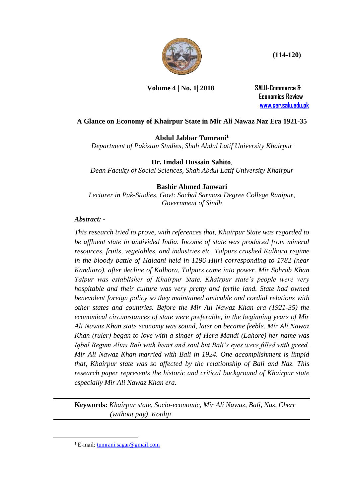

**(114-120)**

**Volume 4 | No. 1| 2018 SALU-Commerce &**

 **Economics Review [www.cer.salu.edu.pk](http://www.cer.salu.edu.pk/)** 

# **A Glance on Economy of Khairpur State in Mir Ali Nawaz Naz Era 1921-35**

**Abdul Jabbar Tumrani<sup>1</sup>**

*Department of Pakistan Studies, Shah Abdul Latif University Khairpur*

## **Dr. Imdad Hussain Sahito**,

*Dean Faculty of Social Sciences, Shah Abdul Latif University Khairpur*

## **Bashir Ahmed Janwari**

*Lecturer in Pak-Studies, Govt: Sachal Sarmast Degree College Ranipur, Government of Sindh*

## *Abstract: -*

*This research tried to prove, with references that, Khairpur State was regarded to be affluent state in undivided India. Income of state was produced from mineral resources, fruits, vegetables, and industries etc. Talpurs crushed Kalhora regime in the bloody battle of Halaani held in 1196 Hijri corresponding to 1782 (near Kandiaro), after decline of Kalhora, Talpurs came into power. Mir Sohrab Khan Talpur was establisher of Khairpur State. Khairpur state's people were very hospitable and their culture was very pretty and fertile land. State had owned benevolent foreign policy so they maintained amicable and cordial relations with other states and countries. Before the Mir Ali Nawaz Khan era (1921-35) the economical circumstances of state were preferable, in the beginning years of Mir Ali Nawaz Khan state economy was sound, later on became feeble. Mir Ali Nawaz Khan (ruler) began to love with a singer of Hera Mandi (Lahore) her name was Iqbal Begum Alias Bali with heart and soul but Bali's eyes were filled with greed. Mir Ali Nawaz Khan married with Bali in 1924. One accomplishment is limpid that, Khairpur state was so affected by the relationship of Bali and Naz. This research paper represents the historic and critical background of Khairpur state especially Mir Ali Nawaz Khan era.* 

**Keywords:** *Khairpur state, Socio-economic, Mir Ali Nawaz, Bali, Naz, Cherr*  *(without pay), Kotdiji*

**.** 

<sup>1</sup> E-mail: [tumrani.sagar@gmail.com](mailto:tumrani.sagar@gmail.com)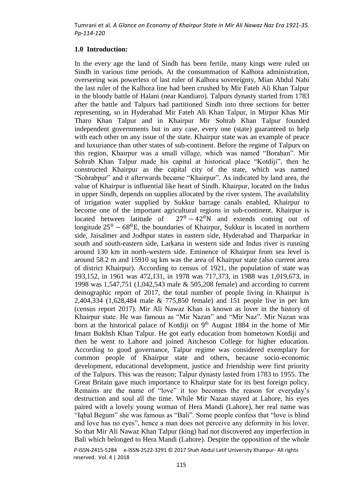### **1.0 Introduction:**

In the every age the land of Sindh has been fertile, many kings were ruled on Sindh in various time periods. At the consummation of Kalhora administration, overseeing was powerless of last ruler of Kalhora sovereignty, Mian Abdul Nabi the last ruler of the Kalhora line had been crushed by Mir Fateh Ali Khan Talpur in the bloody battle of Halani (near Kandiaro). Talpurs dynasty started from 1783 after the battle and Talpurs had partitioned Sindh into three sections for better representing, so in Hyderabad Mir Fateh Ali Khan Talpur, in Mirpur Khas Mir Tharo Khan Talpur and in Khairpur Mir Sohrab Khan Talpur founded independent governments but in any case, every one (state) guaranteed to help with each other on any issue of the state. Khairpur state was an example of peace and luxuriance than other states of sub-continent. Before the regime of Talpurs on this region, Khairpur was a small village, which was named "Borahan". Mir Sohrab Khan Talpur made his capital at historical place "Kotdiji", then he constructed Khairpur as the capital city of the state, which was named "Sohrabpur" and it afterwards became "Khairpur". As indicated by land area, the value of Khairpur is influential like heart of Sindh. Khairpur, located on the Indus in upper Sindh, depends on supplies allocated by the river system. The availability of irrigation water supplied by Sukkur barrage canals enabled, Khairpur to become one of the important agricultural regions in sub-continent. Khairpur is located between latitude of  $27^0 - 42^0$ N and extends coming out of longitude  $25^{\circ} - 68^{\circ}$ E, the boundaries of Khairpur, Sukkur is located in northern side, Jaisalmer and Jodhpur states in eastern side, Hyderabad and Tharparkar in south and south-eastern side, Larkana in western side and Indus river is running around 130 km in north-western side. Eminence of Khairpur from sea level is around 58.2 m and 15910 sq km was the area of Khairpur state (also current area of district Khairpur). According to census of 1921, the population of state was 193,152, in 1961 was 472,131, in 1978 was 717,373, in 1988 was 1,019,673, in 1998 was 1,547,751 (1,042,543 male & 505,208 female) and according to current demographic report of 2017, the total number of people living in Khairpur is 2,404,334 (1,628,484 male & 775,850 female) and 151 people live in per km (census report 2017). Mir Ali Nawaz Khan is known as lover in the history of Khairpur state. He was famous as "Mir Nazan" and "Mir Naz". Mir Nazan was born at the historical palace of Kotdiji on 9<sup>th</sup> August 1884 in the home of Mir Imam Bukhsh Khan Talpur. He got early education from hometown Kotdiji and then he went to Lahore and joined Aitcheson College for higher education. According to good governance, Talpur regime was considered exemplary for common people of Khairpur state and others, because socio-economic development, educational development, justice and friendship were first priority of the Talpurs. This was the reason; Talpur dynasty lasted from 1783 to 1955. The Great Britain gave much importance to Khairpur state for its best foreign policy. Remains are the name of "love" it too becomes the reason for everyday's destruction and soul all the time. While Mir Nazan stayed at Lahore, his eyes paired with a lovely young woman of Hera Mandi (Lahore), her real name was "Iqbal Begum" she was famous as "Bali". Some people confess that "love is blind and love has no eyes", hence a man does not perceive any deformity in his lover. So that Mir Ali Nawaz Khan Talpur (king) had not discovered any imperfection in Bali which belonged to Hera Mandi (Lahore). Despite the opposition of the whole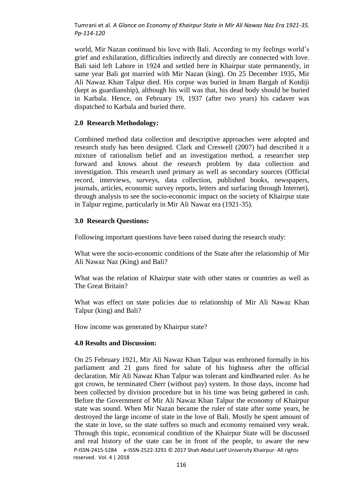world, Mir Nazan continued his love with Bali. According to my feelings world's grief and exhilaration, difficulties indirectly and directly are connected with love. Bali said left Lahore in 1924 and settled here in Khairpur state permanently, in same year Bali got married with Mir Nazan (king). On 25 December 1935, Mir Ali Nawaz Khan Talpur died. His corpse was buried in Imam Bargah of Kotdiji (kept as guardianship), although his will was that, his dead body should be buried in Karbala. Hence, on February 19, 1937 (after two years) his cadaver was dispatched to Karbala and buried there.

### **2.0 Research Methodology:**

Combined method data collection and descriptive approaches were adopted and research study has been designed. Clark and Creswell (2007) had described it a mixture of rationalism belief and an investigation method, a researcher step forward and knows about the research problem by data collection and investigation. This research used primary as well as secondary sources (Official record, interviews, surveys, data collection, published books, newspapers, journals, articles, economic survey reports, letters and surfacing through Internet), through analysis to see the socio-economic impact on the society of Khairpur state in Talpur regime, particularly in Mir Ali Nawaz era (1921-35).

#### **3.0 Research Questions:**

Following important questions have been raised during the research study:

What were the socio-economic conditions of the State after the relationship of Mir Ali Nawaz Naz (King) and Bali?

What was the relation of Khairpur state with other states or countries as well as The Great Britain?

What was effect on state policies due to relationship of Mir Ali Nawaz Khan Talpur (king) and Bali?

How income was generated by Khairpur state?

#### **4.0 Results and Discussion:**

 *P*-ISSN-2415-5284 e-ISSN-2522-3291 © 2017 Shah Abdul Latif University Khairpur- All rights reserved. Vol. 4 | 2018 On 25 February 1921, Mir Ali Nawaz Khan Talpur was enthroned formally in his parliament and 21 guns fired for salute of his highness after the official declaration. Mir Ali Nawaz Khan Talpur was tolerant and kindhearted ruler. As he got crown, he terminated Cherr (without pay) system. In those days, income had been collected by division procedure but in his time was being gathered in cash. Before the Government of Mir Ali Nawaz Khan Talpur the economy of Khairpur state was sound. When Mir Nazan became the ruler of state after some years, he destroyed the large income of state in the love of Bali. Mostly he spent amount of the state in love, so the state suffers so much and economy remained very weak. Through this topic, economical condition of the Khairpur State will be discussed and real history of the state can be in front of the people, to aware the new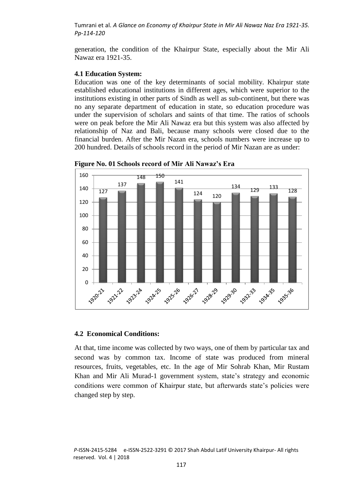generation, the condition of the Khairpur State, especially about the Mir Ali Nawaz era 1921-35.

### **4.1 Education System:**

Education was one of the key determinants of social mobility. Khairpur state established educational institutions in different ages, which were superior to the institutions existing in other parts of Sindh as well as sub-continent, but there was no any separate department of education in state, so education procedure was under the supervision of scholars and saints of that time. The ratios of schools were on peak before the Mir Ali Nawaz era but this system was also affected by relationship of Naz and Bali, because many schools were closed due to the financial burden. After the Mir Nazan era, schools numbers were increase up to 200 hundred. Details of schools record in the period of Mir Nazan are as under:





### **4.2 Economical Conditions:**

At that, time income was collected by two ways, one of them by particular tax and second was by common tax. Income of state was produced from mineral resources, fruits, vegetables, etc. In the age of Mir Sohrab Khan, Mir Rustam Khan and Mir Ali Murad-1 government system, state's strategy and economic conditions were common of Khairpur state, but afterwards state's policies were changed step by step.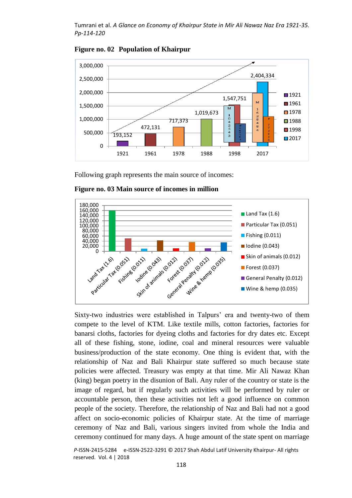

**Figure no. 02 Population of Khairpur**

Following graph represents the main source of incomes:



**Figure no. 03 Main source of incomes in million**

compete to the level of KTM. Like textile mills, cotton factories, factories for banarsi cloths, factories for dyeing cloths and factories for dry dates etc. Except all of these fishing, stone, iodine, coal and mineral resources were valuable business/production of the state economy. One thing is evident that, with the relationship of Naz and Bali Khairpur state suffered so much because state policies were affected. Treasury was empty at that time. Mir Ali Nawaz Khan (king) began poetry in the disunion of Bali. Any ruler of the country or state is the image of regard, but if regularly such activities will be performed by ruler or accountable person, then these activities not left a good influence on common people of the society. Therefore, the relationship of Naz and Bali had not a good affect on socio-economic policies of Khairpur state. At the time of marriage ceremony of Naz and Bali, various singers invited from whole the India and ceremony continued for many days. A huge amount of the state spent on marriage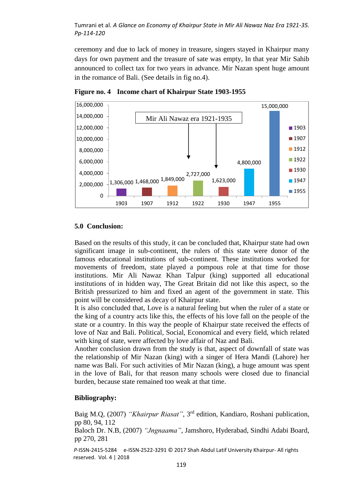ceremony and due to lack of money in treasure, singers stayed in Khairpur many days for own payment and the treasure of sate was empty, In that year Mir Sahib announced to collect tax for two years in advance. Mir Nazan spent huge amount in the romance of Bali. (See details in fig no.4).



**Figure no. 4 Income chart of Khairpur State 1903-1955**

## **5.0 Conclusion:**

Based on the results of this study, it can be concluded that, Khairpur state had own significant image in sub-continent, the rulers of this state were donor of the famous educational institutions of sub-continent. These institutions worked for movements of freedom, state played a pompous role at that time for those institutions. Mir Ali Nawaz Khan Talpur (king) supported all educational institutions of in hidden way, The Great Britain did not like this aspect, so the British pressurized to him and fixed an agent of the government in state. This point will be considered as decay of Khairpur state.

It is also concluded that, Love is a natural feeling but when the ruler of a state or the king of a country acts like this, the effects of his love fall on the people of the state or a country. In this way the people of Khairpur state received the effects of love of Naz and Bali. Political, Social, Economical and every field, which related with king of state, were affected by love affair of Naz and Bali.

Another conclusion drawn from the study is that, aspect of downfall of state was the relationship of Mir Nazan (king) with a singer of Hera Mandi (Lahore) her name was Bali. For such activities of Mir Nazan (king), a huge amount was spent in the love of Bali, for that reason many schools were closed due to financial burden, because state remained too weak at that time.

## **Bibliography:**

Baig M.Q, (2007) *"Khairpur Riasat"*, 3rd edition, Kandiaro, Roshani publication, pp 80, 94, 112 Baloch Dr. N.B, (2007) *"Jngnaama"*, Jamshoro, Hyderabad, Sindhi Adabi Board,

pp 270, 281